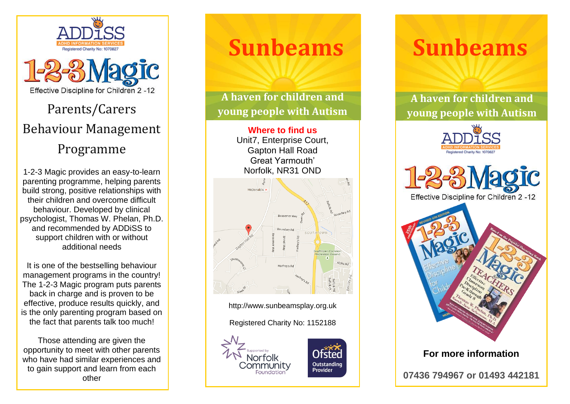



## Parents/Carers Behaviour Management Programme

1-2-3 Magic provides an easy-to-learn parenting programme, helping parents build strong, positive relationships with their children and overcome difficult behaviour. Developed by clinical psychologist, Thomas W. Phelan, Ph.D. and recommended by ADDiSS to support children with or without additional needs

It is one of the bestselling behaviour management programs in the country! The 1-2-3 Magic program puts parents back in charge and is proven to be effective, produce results quickly, and is the only parenting program based on the fact that parents talk too much!

Those attending are given the opportunity to meet with other parents who have had similar experiences and to gain support and learn from each other

# **Sunbeams**

**A haven for children and young people with Autism** 

> **Where to find us** Unit7, Enterprise Court, Gapton Hall Road Great Yarmouth' Norfolk, NR31 OND



http://www.sunbeamsplay.org.uk

Registered Charity No: 1152188





# **Sunbeams**

**A haven for children and young people with Autism**







**07436 794967 or 01493 442181**